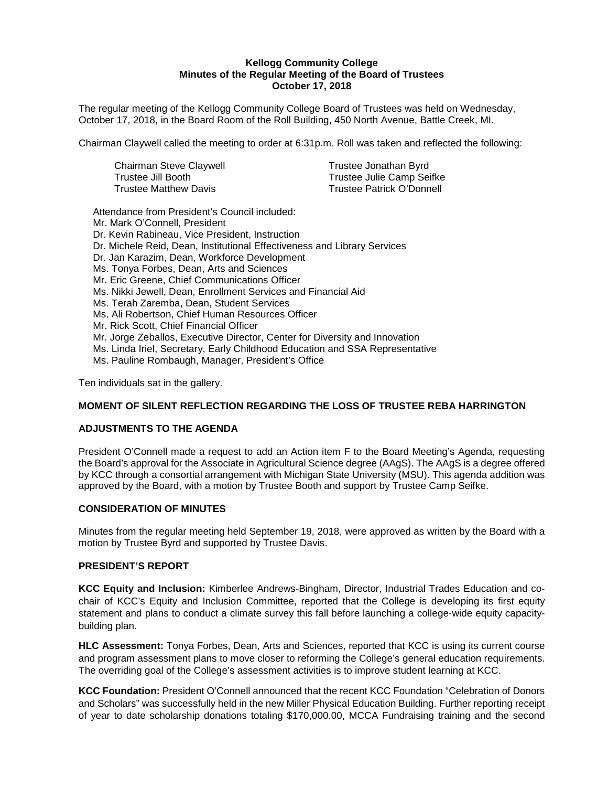#### **Kellogg Community College Minutes of the Regular Meeting of the Board of Trustees October 17, 2018**

The regular meeting of the Kellogg Community College Board of Trustees was held on Wednesday, October 17, 2018, in the Board Room of the Roll Building, 450 North Avenue, Battle Creek, MI.

Chairman Claywell called the meeting to order at 6:31p.m. Roll was taken and reflected the following:

| Chairman Steve Claywell | Trustee Jonathan Byrd            |
|-------------------------|----------------------------------|
| Trustee Jill Booth_     | Trustee Julie Camp Seifke        |
| Trustee Matthew Davis   | <b>Trustee Patrick O'Donnell</b> |

Attendance from President's Council included: Mr. Mark O'Connell, President Dr. Kevin Rabineau, Vice President, Instruction Dr. Michele Reid, Dean, Institutional Effectiveness and Library Services Dr. Jan Karazim, Dean, Workforce Development Ms. Tonya Forbes, Dean, Arts and Sciences Mr. Eric Greene, Chief Communications Officer Ms. Nikki Jewell, Dean, Enrollment Services and Financial Aid Ms. Terah Zaremba, Dean, Student Services Ms. Ali Robertson, Chief Human Resources Officer Mr. Rick Scott, Chief Financial Officer Mr. Jorge Zeballos, Executive Director, Center for Diversity and Innovation Ms. Linda Iriel, Secretary, Early Childhood Education and SSA Representative Ms. Pauline Rombaugh, Manager, President's Office

Ten individuals sat in the gallery.

# **MOMENT OF SILENT REFLECTION REGARDING THE LOSS OF TRUSTEE REBA HARRINGTON**

#### **ADJUSTMENTS TO THE AGENDA**

President O'Connell made a request to add an Action item F to the Board Meeting's Agenda, requesting the Board's approval for the Associate in Agricultural Science degree (AAgS). The AAgS is a degree offered by KCC through a consortial arrangement with Michigan State University (MSU). This agenda addition was approved by the Board, with a motion by Trustee Booth and support by Trustee Camp Seifke.

#### **CONSIDERATION OF MINUTES**

Minutes from the regular meeting held September 19, 2018, were approved as written by the Board with a motion by Trustee Byrd and supported by Trustee Davis.

#### **PRESIDENT'S REPORT**

**KCC Equity and Inclusion:** Kimberlee Andrews-Bingham, Director, Industrial Trades Education and cochair of KCC's Equity and Inclusion Committee, reported that the College is developing its first equity statement and plans to conduct a climate survey this fall before launching a college-wide equity capacitybuilding plan.

**HLC Assessment:** Tonya Forbes, Dean, Arts and Sciences, reported that KCC is using its current course and program assessment plans to move closer to reforming the College's general education requirements. The overriding goal of the College's assessment activities is to improve student learning at KCC.

**KCC Foundation:** President O'Connell announced that the recent KCC Foundation "Celebration of Donors and Scholars" was successfully held in the new Miller Physical Education Building. Further reporting receipt of year to date scholarship donations totaling \$170,000.00, MCCA Fundraising training and the second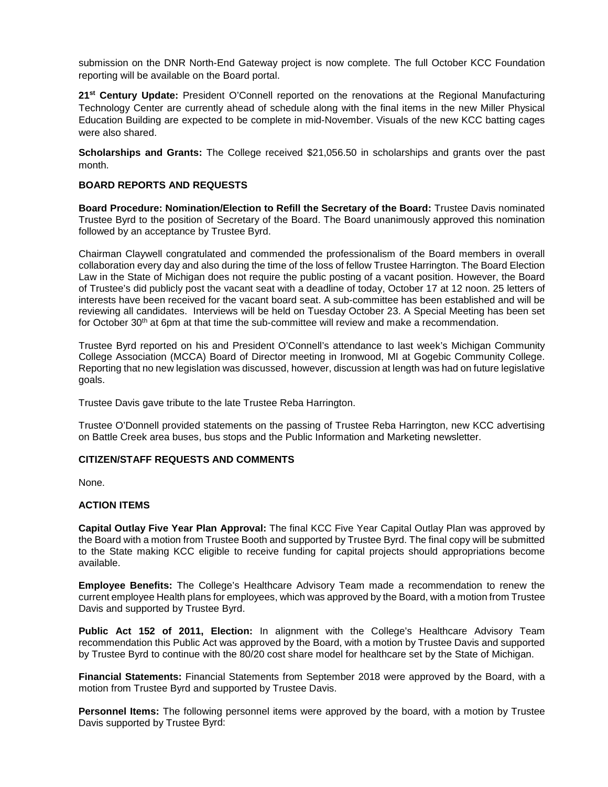submission on the DNR North-End Gateway project is now complete. The full October KCC Foundation reporting will be available on the Board portal.

**21st Century Update:** President O'Connell reported on the renovations at the Regional Manufacturing Technology Center are currently ahead of schedule along with the final items in the new Miller Physical Education Building are expected to be complete in mid-November. Visuals of the new KCC batting cages were also shared.

**Scholarships and Grants:** The College received \$21,056.50 in scholarships and grants over the past month.

## **BOARD REPORTS AND REQUESTS**

**Board Procedure: Nomination/Election to Refill the Secretary of the Board:** Trustee Davis nominated Trustee Byrd to the position of Secretary of the Board. The Board unanimously approved this nomination followed by an acceptance by Trustee Byrd.

Chairman Claywell congratulated and commended the professionalism of the Board members in overall collaboration every day and also during the time of the loss of fellow Trustee Harrington. The Board Election Law in the State of Michigan does not require the public posting of a vacant position. However, the Board of Trustee's did publicly post the vacant seat with a deadline of today, October 17 at 12 noon. 25 letters of interests have been received for the vacant board seat. A sub-committee has been established and will be reviewing all candidates. Interviews will be held on Tuesday October 23. A Special Meeting has been set for October 30<sup>th</sup> at 6pm at that time the sub-committee will review and make a recommendation.

Trustee Byrd reported on his and President O'Connell's attendance to last week's Michigan Community College Association (MCCA) Board of Director meeting in Ironwood, MI at Gogebic Community College. Reporting that no new legislation was discussed, however, discussion at length was had on future legislative goals.

Trustee Davis gave tribute to the late Trustee Reba Harrington.

Trustee O'Donnell provided statements on the passing of Trustee Reba Harrington, new KCC advertising on Battle Creek area buses, bus stops and the Public Information and Marketing newsletter.

#### **CITIZEN/STAFF REQUESTS AND COMMENTS**

None.

## **ACTION ITEMS**

**Capital Outlay Five Year Plan Approval:** The final KCC Five Year Capital Outlay Plan was approved by the Board with a motion from Trustee Booth and supported by Trustee Byrd. The final copy will be submitted to the State making KCC eligible to receive funding for capital projects should appropriations become available.

**Employee Benefits:** The College's Healthcare Advisory Team made a recommendation to renew the current employee Health plans for employees, which was approved by the Board, with a motion from Trustee Davis and supported by Trustee Byrd.

**Public Act 152 of 2011, Election:** In alignment with the College's Healthcare Advisory Team recommendation this Public Act was approved by the Board, with a motion by Trustee Davis and supported by Trustee Byrd to continue with the 80/20 cost share model for healthcare set by the State of Michigan.

**Financial Statements:** Financial Statements from September 2018 were approved by the Board, with a motion from Trustee Byrd and supported by Trustee Davis.

**Personnel Items:** The following personnel items were approved by the board, with a motion by Trustee Davis supported by Trustee Byrd: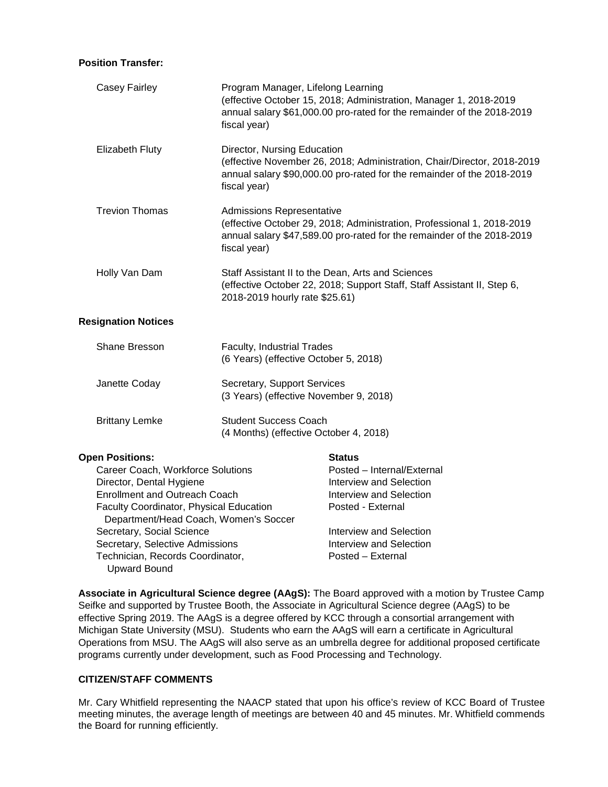#### **Position Transfer:**

| Program Manager, Lifelong Learning<br>(effective October 15, 2018; Administration, Manager 1, 2018-2019<br>annual salary \$61,000.00 pro-rated for the remainder of the 2018-2019<br>fiscal year)    |                                                                                                                                                                                                   |
|------------------------------------------------------------------------------------------------------------------------------------------------------------------------------------------------------|---------------------------------------------------------------------------------------------------------------------------------------------------------------------------------------------------|
| Director, Nursing Education<br>(effective November 26, 2018; Administration, Chair/Director, 2018-2019<br>annual salary \$90,000.00 pro-rated for the remainder of the 2018-2019<br>fiscal year)     |                                                                                                                                                                                                   |
| <b>Admissions Representative</b><br>(effective October 29, 2018; Administration, Professional 1, 2018-2019<br>annual salary \$47,589.00 pro-rated for the remainder of the 2018-2019<br>fiscal year) |                                                                                                                                                                                                   |
| Staff Assistant II to the Dean, Arts and Sciences<br>(effective October 22, 2018; Support Staff, Staff Assistant II, Step 6,<br>2018-2019 hourly rate \$25.61)                                       |                                                                                                                                                                                                   |
|                                                                                                                                                                                                      |                                                                                                                                                                                                   |
| Faculty, Industrial Trades<br>(6 Years) (effective October 5, 2018)                                                                                                                                  |                                                                                                                                                                                                   |
| Secretary, Support Services<br>(3 Years) (effective November 9, 2018)                                                                                                                                |                                                                                                                                                                                                   |
| <b>Student Success Coach</b><br>(4 Months) (effective October 4, 2018)                                                                                                                               |                                                                                                                                                                                                   |
|                                                                                                                                                                                                      | <b>Status</b><br>Posted - Internal/External<br><b>Interview and Selection</b><br>Interview and Selection<br>Posted - External<br><b>Interview and Selection</b><br><b>Interview and Selection</b> |
|                                                                                                                                                                                                      | Career Coach, Workforce Solutions<br><b>Enrollment and Outreach Coach</b><br>Faculty Coordinator, Physical Education<br>Department/Head Coach, Women's Soccer<br>Secretary, Selective Admissions  |

**Associate in Agricultural Science degree (AAgS):** The Board approved with a motion by Trustee Camp Seifke and supported by Trustee Booth, the Associate in Agricultural Science degree (AAgS) to be effective Spring 2019. The AAgS is a degree offered by KCC through a consortial arrangement with Michigan State University (MSU). Students who earn the AAgS will earn a certificate in Agricultural Operations from MSU. The AAgS will also serve as an umbrella degree for additional proposed certificate programs currently under development, such as Food Processing and Technology.

Technician, Records Coordinator, Posted – External

# **CITIZEN/STAFF COMMENTS**

Upward Bound

Mr. Cary Whitfield representing the NAACP stated that upon his office's review of KCC Board of Trustee meeting minutes, the average length of meetings are between 40 and 45 minutes. Mr. Whitfield commends the Board for running efficiently.